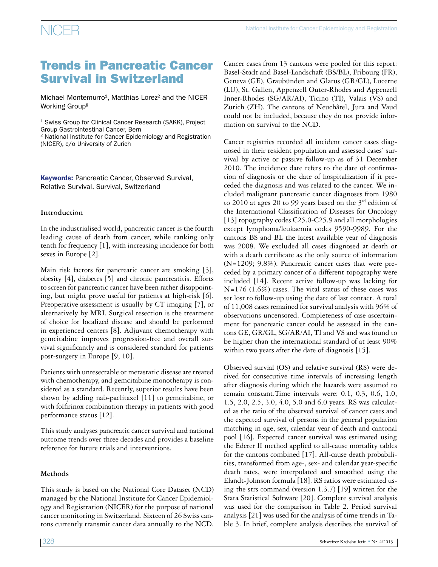## Trends in Pancreatic Cancer Survival in Switzerland

Michael Montemurro<sup>1</sup>, Matthias Lorez<sup>2</sup> and the NICER Working Group§

<sup>1</sup> Swiss Group for Clinical Cancer Research (SAKK), Project Group Gastrointestinal Cancer, Bern

2 National Institute for Cancer Epidemiology and Registration (NICER), c/o University of Zurich

Keywords: Pancreatic Cancer, Observed Survival, Relative Survival, Survival, Switzerland

### **Introduction**

In the industrialised world, pancreatic cancer is the fourth leading cause of death from cancer, while ranking only tenth for frequency [1], with increasing incidence for both sexes in Europe [2].

Main risk factors for pancreatic cancer are smoking [3], obesity [4], diabetes [5] and chronic pancreatitis. Efforts to screen for pancreatic cancer have been rather disappointing, but might prove useful for patients at high-risk [6]. Preoperative assessment is usually by CT imaging [7], or alternatively by MRI. Surgical resection is the treatment of choice for localized disease and should be performed in experienced centers [8]. Adjuvant chemotherapy with gemcitabine improves progression-free and overall survival significantly and is considered standard for patients post-surgery in Europe [9, 10].

Patients with unresectable or metastatic disease are treated with chemotherapy, and gemcitabine monotherapy is considered as a standard. Recently, superior results have been shown by adding nab-paclitaxel [11] to gemcitabine, or with folfirinox combination therapy in patients with good performance status [12].

This study analyses pancreatic cancer survival and national outcome trends over three decades and provides a baseline reference for future trials and interventions.

### **Methods**

This study is based on the National Core Dataset (NCD) managed by the National Institute for Cancer Epidemiology and Registration (NICER) for the purpose of national cancer monitoring in Switzerland. Sixteen of 26 Swiss cantons currently transmit cancer data annually to the NCD.

Cancer cases from 13 cantons were pooled for this report: Basel-Stadt and Basel-Landschaft (BS/BL), Fribourg (FR), Geneva (GE), Graubünden and Glarus (GR/GL), Lucerne (LU), St. Gallen, Appenzell Outer-Rhodes and Appenzell Inner-Rhodes (SG/AR/AI), Ticino (TI), Valais (VS) and Zurich (ZH). The cantons of Neuchâtel, Jura and Vaud could not be included, because they do not provide information on survival to the NCD.

Cancer registries recorded all incident cancer cases diagnosed in their resident population and assessed cases' survival by active or passive follow-up as of 31 December 2010. The incidence date refers to the date of confirmation of diagnosis or the date of hospitalization if it preceded the diagnosis and was related to the cancer. We included malignant pancreatic cancer diagnoses from 1980 to 2010 at ages 20 to 99 years based on the 3<sup>rd</sup> edition of the International Classification of Diseases for Oncology [13] topography codes C25.0-C25.9 and all morphologies except lymphoma/leukaemia codes 9590-9989. For the cantons BS and BL the latest available year of diagnosis was 2008. We excluded all cases diagnosed at death or with a death certificate as the only source of information (N=1209; 9.8%). Pancreatic cancer cases that were preceded by a primary cancer of a different topography were included [14]. Recent active follow-up was lacking for  $N=176$  (1.6%) cases. The vital status of these cases was set lost to follow-up using the date of last contact. A total of 11,008 cases remained for survival analysis with 96% of observations uncensored. Completeness of case ascertainment for pancreatic cancer could be assessed in the cantons GE, GR/GL, SG/AR/AI, TI and VS and was found to be higher than the international standard of at least 90% within two years after the date of diagnosis [15].

Observed survial (OS) and relative survival (RS) were derived for consecutive time intervals of increasing length after diagnosis during which the hazards were assumed to remain constant.Time intervals were: 0.1, 0.3, 0.6, 1.0, 1.5, 2.0, 2.5, 3.0, 4.0, 5.0 and 6.0 years. RS was calculated as the ratio of the observed survival of cancer cases and the expected survival of persons in the general population matching in age, sex, calendar year of death and cantonal pool [16]. Expected cancer survival was estimated using the Ederer II method applied to all-cause mortality tables for the cantons combined [17]. All-cause death probabilities, transformed from age-, sex- and calendar year-specific death rates, were interpolated and smoothed using the Elandt-Johnson formula [18]. RS ratios were estimated using the strs command (version 1.3.7) [19] written for the Stata Statistical Software [20]. Complete survival analysis was used for the comparison in Table 2. Period survival analysis [21] was used for the analysis of time trends in Table 3. In brief, complete analysis describes the survival of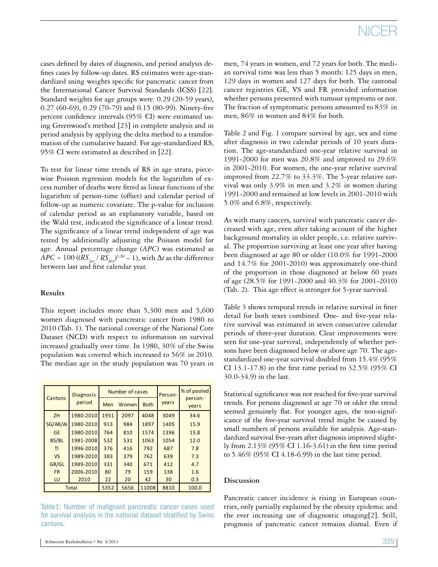cases defined by dates of diagnosis, and period analysis defines cases by follow-up dates. RS estimates were age-standardized using weights specific for pancreatic cancer from the International Cancer Survival Standards (ICSS) [22]. Standard weights for age groups were: 0.29 (20-59 years), 0.27 (60-69), 0.29 (70-79) and 0.15 (80-99). Ninety-five percent confidence intervals (95% CI) were estimated using Greenwood's method [23] in complete analysis and in period analysis by applying the delta method to a transformation of the cumulative hazard. For age-standardized RS, 95% CI were estimated as described in [22].

To test for linear time trends of RS in age strata, piecewise Poisson regression models for the logarithm of excess number of deaths were fitted as linear functions of the logarithm of person-time (offset) and calendar period of follow-up as numeric covariate. The p-value for inclusion of calendar period as an explanatory variable, based on the Wald test, indicated the significance of a linear trend. The significance of a linear trend independent of age was tested by additionally adjusting the Poisson model for age. Annual percentage change (*APC*) was estimated as  $APC = 100 \left( \left( RS_{\text{last}} / RS_{\text{first}} \right)^{1/\Delta t} - 1 \right)$ , with  $\Delta t$  as the difference between last and first calendar year.

### **Results**

This report includes more than 5,300 men and 5,600 women diagnosed with pancreatic cancer from 1980 to 2010 (Tab. 1). The national coverage of the National Core Dataset (NCD) with respect to information on survival increased gradually over time. In 1980, 30% of the Swiss population was covered which increased to 56% in 2010. The median age in the study population was 70 years in

| Cantons      | <b>Diagnosis</b> |      | Number of cases |             | Person- | % of pooled<br>person-<br>years |  |
|--------------|------------------|------|-----------------|-------------|---------|---------------------------------|--|
|              | period           | Men  | Women           | <b>Both</b> | vears   |                                 |  |
| ZH           | 1980-2010        | 1951 | 2097            | 4048        | 3049    | 34.6                            |  |
| SG/AR/AI     | 1980-2010        | 913  | 984             | 1897        | 1405    | 15.9                            |  |
| <b>GE</b>    | 1980-2010        | 764  | 810             | 1574        | 1396    | 15.8                            |  |
| BS/BL        | 1981-2008        | 532  | 531             | 1063        | 1054    | 12.0                            |  |
| ΤI           | 1996-2010        | 376  | 416             | 792         | 687     | 7.8                             |  |
| <b>VS</b>    | 1989-2010        | 383  | 379             | 762         | 639     | 7.3                             |  |
| GR/GL        | 1989-2010        | 331  | 340             | 671         | 412     | 4.7                             |  |
| <b>FR</b>    | 2006-2010        | 80   | 79              | 159         | 138     | 1.6                             |  |
| LU           | 2010             | 22   | 20              | 42          | 30      | 0.3                             |  |
| <b>Total</b> |                  | 5352 | 5656            | 11008       | 8810    | 100.0                           |  |

Table1: Number of malignant pancreatic cancer cases used for survival analysis in the national dataset stratified by Swiss cantons.

men, 74 years in women, and 72 years for both. The median survival time was less than 5 month: 125 days in men, 129 days in women and 127 days for both. The cantonal cancer registries GE, VS and FR provided information whether persons presented with tumour symptoms or not. The fraction of symptomatic persons amounted to 83% in men, 86% in women and 84% for both.

Table 2 and Fig. 1 compare survival by age, sex and time after diagnosis in two calendar periods of 10 years duration. The age-standardized one-year relative survival in 1991-2000 for men was 20.8% and improved to 29.6% in 2001-2010. For women, the one-year relative survival improved from 22.7% to 33.3%. The 5-year relative survival was only 3.9% in men and 3.2% in women during 1991-2000 and remained at low levels in 2001-2010 with 5.0% and 6.8%, respectively.

As with many cancers, survival with pancreatic cancer decreased with age, even after taking account of the higher background mortality in older people, i.e. relative survival. The proportion surviving at least one year after having been diagnosed at age 80 or older (10.0% for 1991-2000 and 14.7% for 2001-2010) was approximately one-third of the proportion in those diagnosed at below 60 years of age (28.5% for 1991-2000 and 40.3% for 2001-2010) (Tab. 2). This age effect is stronger for 5-year survival.

Table 3 shows temporal trends in relative survival in finer detail for both sexes combined. One- and five-year relative survival was estimated in seven consecutive calendar periods of three-year duration. Clear improvements were seen for one-year survival, independently of whether persons have been diagnosed below or above age 70. The agestandardized one-year survival doubled from 15.4% (95% CI 13.1-17.8) in the first time period to 32.5% (95% CI 30.0-34.9) in the last.

Statistical significance was not reached for five-year survival trends. For persons diagnosed at age 70 or older the trend seemed genuinely flat. For younger ages, the non-significance of the five-year survival trend might be caused by small numbers of persons available for analysis. Age-standardized survival five-years after diagnosis improved slightly from 2.13% (95% CI 1.16-3.61) in the first time period to 5.46% (95% CI 4.18-6.99) in the last time period.

### **Discussion**

Pancreatic cancer incidence is rising in European countries, only partially explained by the obesity epidemic and the ever increasing use of diagnostic imaging[2]. Still, prognosis of pancreatic cancer remains dismal. Even if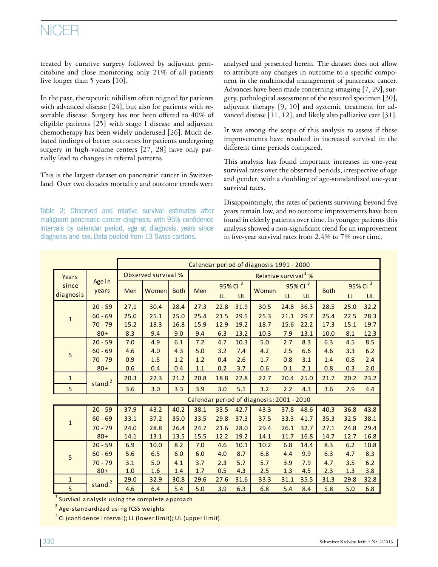## NICER

treated by curative surgery followed by adjuvant gemcitabine and close monitoring only 21% of all patients live longer than 5 years [10].

In the past, therapeutic nihilism often reigned for patients with advanced disease [24], but also for patients with resectable disease. Surgery has not been offered to 40% of eligible patients [25] with stage I disease and adjuvant chemotherapy has been widely underused [26]. Much debated findings of better outcomes for patients undergoing surgery in high-volume centers [27, 28] have only partially lead to changes in referral patterns.

This is the largest dataset on pancreatic cancer in Switzerland. Over two decades mortality and outcome trends were

Table 2: Observed and relative survival estimates after malignant pancreatic cancer diagnosis, with 95% confidence intervals by calendar period, age at diagnosis, years since diagnosis and sex. Data pooled from 13 Swiss cantons.

analysed and presented herein. The dataset does not allow to attribute any changes in outcome to a specific component in the multimodal management of pancreatic cancer. Advances have been made concerning imaging [7, 29], surgery, pathological assessment of the resected specimen [30], adjuvant therapy [9, 10] and systemic treatment for advanced disease [11, 12], and likely also palliative care [31].

It was among the scope of this analysis to assess if these improvements have resulted in increased survival in the different time periods compared.

This analysis has found important increases in one-year survival rates over the observed periods, irrespective of age and gender, with a doubling of age-standardized one-year survival rates.

Disappointingly, the rates of patients surviving beyond five years remain low, and no outcome improvements have been found in elderly patients over time. In younger patients this analysis showed a non-significant trend for an improvement in five-year survival rates from 2.4% to 7% over time.

|                    |                                              | Calendar period of diagnosis 1991 - 2000  |                              |                              |                                  |                              |                              |                              |                              |                              |                              |                              |                                      |
|--------------------|----------------------------------------------|-------------------------------------------|------------------------------|------------------------------|----------------------------------|------------------------------|------------------------------|------------------------------|------------------------------|------------------------------|------------------------------|------------------------------|--------------------------------------|
| Years              | Age in<br>years                              | Observed survival %                       |                              |                              | Relative survival <sup>1</sup> % |                              |                              |                              |                              |                              |                              |                              |                                      |
| since<br>diagnosis |                                              | Men                                       | Women                        | <b>Both</b>                  | <b>Men</b>                       | 95% CI<br>L                  | $\overline{3}$<br><b>UL</b>  | Women                        | 95% CI<br>LL                 | 3<br><b>UL</b>               | <b>Both</b>                  | 95% CI<br>LL                 | $\overline{\mathbf{3}}$<br><b>UL</b> |
|                    | $20 - 59$                                    | 27.1                                      | 30.4                         | 28.4                         | 27.3                             | 22.8                         | 31.9                         | 30.5                         | 24.8                         | 36.3                         | 28.5                         | 25.0                         | 32.2                                 |
| $\mathbf{1}$       | $60 - 69$<br>$70 - 79$                       | 25.0<br>15.2                              | 25.1<br>18.3                 | 25.0<br>16.8                 | 25.4<br>15.9                     | 21.5<br>12.9                 | 29.5<br>19.2                 | 25.3<br>18.7                 | 21.1<br>15.6                 | 29.7<br>22.2                 | 25.4<br>17.3                 | 22.5<br>15.1                 | 28.3<br>19.7                         |
|                    | $80+$                                        | 8.3                                       | 9.4                          | 9.0                          | 9.4                              | 6.3                          | 13.2                         | 10.3                         | 7.9                          | 13.1                         | 10.0                         | 8.1                          | 12.3                                 |
| 5                  | $20 - 59$<br>$60 - 69$<br>$70 - 79$<br>$80+$ | 7.0<br>4.6<br>0.9<br>0.6                  | 4.9<br>4.0<br>1.5<br>0.4     | 6.1<br>4.3<br>1.2<br>0.4     | 7.2<br>5.0<br>1.2<br>1.1         | 4.7<br>3.2<br>0.4<br>0.2     | 10.3<br>7.4<br>2.6<br>3.7    | 5.0<br>4.2<br>1.7<br>0.6     | 2.7<br>2.5<br>0.8<br>0.1     | 8.3<br>6.6<br>3.1<br>2.1     | 6.3<br>4.6<br>1.4<br>0.8     | 4.5<br>3.3<br>0.8<br>0.3     | 8.5<br>6.2<br>2.4<br>2.0             |
| $\mathbf{1}$       |                                              | 20.3                                      | 22.3                         | 21.2                         | 20.8                             | 18.8                         | 22.8                         | 22.7                         | 20.4                         | 25.0                         | 21.7                         | 20.2                         | 23.2                                 |
| 5                  | stand. <sup>2</sup>                          | 3.6                                       | 3.0                          | 3.3                          | 3.9                              | 3.0                          | 5.1                          | 3.2                          | 2.2                          | 4.3                          | 3.6                          | 2.9                          | 4.4                                  |
|                    |                                              | Calendar period of diagnosis: 2001 - 2010 |                              |                              |                                  |                              |                              |                              |                              |                              |                              |                              |                                      |
| $\mathbf{1}$       | $20 - 59$<br>$60 - 69$<br>$70 - 79$<br>$80+$ | 37.9<br>33.1<br>24.0<br>14.1              | 43.2<br>37.2<br>28.8<br>13.1 | 40.2<br>35.0<br>26.4<br>13.5 | 38.1<br>33.5<br>24.7<br>15.5     | 33.5<br>29.8<br>21.6<br>12.2 | 42.7<br>37.3<br>28.0<br>19.2 | 43.3<br>37.5<br>29.4<br>14.1 | 37.8<br>33.3<br>26.1<br>11.7 | 48.6<br>41.7<br>32.7<br>16.8 | 40.3<br>35.3<br>27.1<br>14.7 | 36.8<br>32.5<br>24.8<br>12.7 | 43.8<br>38.1<br>29.4<br>16.8         |
| 5                  | $20 - 59$<br>$60 - 69$                       | 6.9<br>5.6                                | 10.0<br>6.5                  | 8.2<br>6.0                   | 7.0<br>6.0                       | 4.6<br>4.0                   | 10.1<br>8.7                  | 10.2<br>6.8                  | 6.8<br>4.4                   | 14.4<br>9.9                  | 8.3<br>6.3                   | 6.2<br>4.7                   | 10.8<br>8.3                          |
|                    | $70 - 79$<br>$80+$                           | 3.1<br>1.0                                | 5.0<br>1.6                   | 4.1<br>1.4                   | 3.7<br>1.7                       | 2.3<br>0.5                   | 5.7<br>4.3                   | 5.7<br>2.5                   | 3.9<br>1.3                   | 7.9<br>4.5                   | 4.7<br>2.3                   | 3.5<br>1.3                   | 6.2<br>3.8                           |
| $\mathbf{1}$       | stand. <sup>2</sup>                          | 29.0                                      | 32.9                         | 30.8                         | 29.6                             | 27.6                         | 31.6                         | 33.3                         | 31.1                         | 35.5                         | 31.3                         | 29.8                         | 32.8                                 |
| 5                  |                                              | 4.6                                       | 6.4                          | 5.4                          | 5.0                              | 3.9                          | 6.3                          | 6.8                          | 5.4                          | 8.4                          | 5.8                          | 5.0                          | 6.8                                  |

 $^{\rm 1}$  Survival analysis using the complete approach

<sup>2</sup> Age-standardized using ICSS weights

 $^{\rm 3}$  CI (confidence interval); LL (lower limit); UL (upper limit)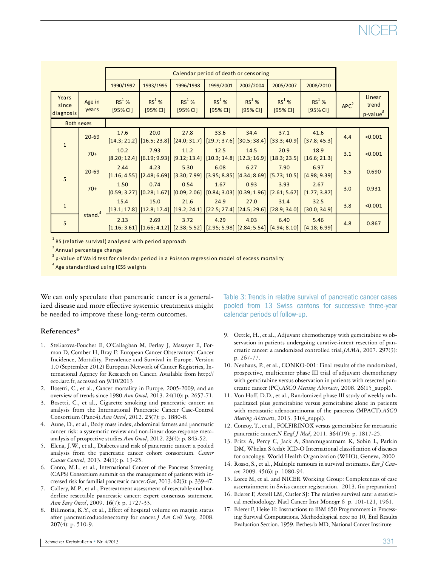|                             | Calendar period of death or censoring |                       |                                                    |                                                                                                   |                                                      |                       |                                                                                                   |                                 |                  |                                         |
|-----------------------------|---------------------------------------|-----------------------|----------------------------------------------------|---------------------------------------------------------------------------------------------------|------------------------------------------------------|-----------------------|---------------------------------------------------------------------------------------------------|---------------------------------|------------------|-----------------------------------------|
|                             |                                       | 1990/1992             | 1993/1995                                          | 1996/1998                                                                                         | 1999/2001                                            | 2002/2004             | 2005/2007                                                                                         | 2008/2010                       |                  |                                         |
| Years<br>since<br>diagnosis | Age in<br>years                       | $RS1$ %<br>$[95%$ CI] | $RS^1$ %<br>$[95%$ CI]                             | $RS1$ %<br>$[95%$ CI]                                                                             | $RS1$ %<br>$[95%$ CI]                                | $RS1$ %<br>$[95%$ CI] | $RS1$ %<br>$[95%$ CI]                                                                             | $RS1$ %<br>[95% <sub>CI</sub> ] | APC <sup>2</sup> | Linear<br>trend<br>p-value <sup>3</sup> |
| <b>Both sexes</b>           |                                       |                       |                                                    |                                                                                                   |                                                      |                       |                                                                                                   |                                 |                  |                                         |
| $\mathbf{1}$                | $20 - 69$                             | 17.6<br>[14.3; 21.2]  | 20.0<br>[16.5; 23.8]                               | 27.8                                                                                              | 33.6<br>$[24.0; 31.7]$ $[29.7; 37.6]$ $[30.5; 38.4]$ | 34.4                  | 37.1<br>[33.3; 40.9]                                                                              | 41.6<br>[37.8; 45.3]            | 4.4              | < 0.001                                 |
|                             | $70+$                                 | 10.2                  | 7.93                                               | 11.2                                                                                              | 12.5                                                 | 14.5                  | 20.9<br>$[8.20; 12.4]$ $[6.19; 9.93]$ $[9.12; 13.4]$ $[10.3; 14.8]$ $[12.3; 16.9]$ $[18.3; 23.5]$ | 18.9<br>[16.6; 21.3]            | 3.1              | < 0.001                                 |
| 5                           | $20 - 69$                             | 2.44                  | 4.23<br>$[1.16; 4.55]$ $[2.48; 6.69]$              | 5.30                                                                                              | 6.08                                                 | 6.27                  | 7.90<br>$[3.30; 7.99]$ $[3.95; 8.85]$ $[4.34; 8.69]$ $[5.73; 10.5]$                               | 6.97<br>[4.98, 9.39]            | 5.5              | 0.690                                   |
|                             | $70+$                                 | 1.50                  | 0.74                                               | 0.54                                                                                              | 1.67                                                 | 0.93                  | 3.93<br>$[0.59; 3.27]$ $[0.28; 1.67]$ $[0.09; 2.06]$ $[0.84; 3.03]$ $[0.39; 1.96]$ $[2.61; 5.67]$ | 2.67<br>[1.77; 3.87]            | 3.0              | 0.931                                   |
| $\mathbf{1}$                | stand. <sup>4</sup>                   | 15.4<br>[13.1; 17.8]  | 15.0<br>$\left  \left[ 12.8; 17.4 \right] \right $ | 21.6                                                                                              | 24.9                                                 | 27.0                  | 31.4<br>$[19.2; 24.1]$ $[22.5; 27.4]$ $[24.5; 29.6]$ $[28.9; 34.0]$                               | 32.5<br>[30.0; 34.9]            | 3.8              | < 0.001                                 |
| 5                           |                                       | 2.13                  | 2.69                                               | 3.72<br>$[1.16; 3.61]$ $[1.66; 4.12]$ $[2.38; 5.52]$ $[2.95; 5.98]$ $[2.84; 5.54]$ $[4.94; 8.10]$ | 4.29                                                 | 4.03                  | 6.40                                                                                              | 5.46<br>[4.18; 6.99]            | 4.8              | 0.867                                   |

 $^{\rm 1}$  RS (relative survival) analysed with period approach

<sup>2</sup> Annual percentage change

 $^{\rm 3}$  p-Value of Wald test for calendar period in a Poisson regression model of excess mortality

<sup>4</sup> Age standardized using ICSS weights

We can only speculate that pancreatic cancer is a generalized disease and more effective systemic treatments might be needed to improve these long-term outcomes.

### **References\***

- 1. Steliarova-Foucher E, O'Callaghan M, Ferlay J, Masuyer E, Forman D, Comber H, Bray F: European Cancer Observatory: Cancer Incidence, Mortality, Prevalence and Survival in Europe. Version 1.0 (September 2012) European Network of Cancer Registries, International Agency for Research on Cancer. Available from http:// eco.iarc.fr, accessed on 9/10/2013
- 2. Bosetti, C., et al., Cancer mortality in Europe, 2005-2009, and an overview of trends since 1980.*Ann Oncol,* 2013. **24**(10): p. 2657-71.
- 3. Bosetti, C., et al., Cigarette smoking and pancreatic cancer: an analysis from the International Pancreatic Cancer Case-Control Consortium (Panc4).*Ann Oncol*, 2012. **23**(7): p. 1880-8.
- 4. Aune, D., et al., Body mass index, abdominal fatness and pancreatic cancer risk: a systematic review and non-linear dose-response metaanalysis of prospective studies.*Ann Oncol*, 2012. **23**(4): p. 843-52.
- 5. Elena, J.W., et al., Diabetes and risk of pancreatic cancer: a pooled analysis from the pancreatic cancer cohort consortium*. Cancer Causes Control*, 2013. **24**(1): p. 13-25.
- 6. Canto, M.I., et al., International Cancer of the Pancreas Screening (CAPS) Consortium summit on the management of patients with increased risk for familial pancreatic cancer*.Gut*, 2013. **62**(3): p. 339-47.
- 7. Callery, M.P., et al., Pretreatment assessment of resectable and borderline resectable pancreatic cancer: expert consensus statement*. Ann Surg Oncol*, 2009. **16**(7): p. 1727-33.
- Bilimoria, K.Y., et al., Effect of hospital volume on margin status after pancreaticoduodenectomy for cancer*.J Am Coll Surg*, 2008. **207**(4): p. 510-9.

Table 3: Trends in relative survival of pancreatic cancer cases pooled from 13 Swiss cantons for successive three-year calendar periods of follow-up.

- 9. Oettle, H., et al., Adjuvant chemotherapy with gemcitabine vs observation in patients undergoing curative-intent resection of pancreatic cancer: a randomized controlled trial*.JAMA*, 2007. **297**(3): p. 267-77.
- 10. Neuhaus, P., et al., CONKO-001: Final results of the randomized, prospective, multicenter phase III trial of adjuvant chemotherapy with gemcitabine versus observation in patients with resected pancreatic cancer (PC)*.ASCO Meeting Abstracts*, 2008. **26**(15\_suppl).
- 11. Von Hoff, D.D., et al., Randomized phase III study of weekly nabpaclitaxel plus gemcitabine versus gemcitabine alone in patients with metastatic adenocarcinoma of the pancreas (MPACT)*.ASCO Meeting Abstracts*, 2013. **31**(4\_suppl).
- 12. Conroy, T., et al., FOLFIRINOX versus gemcitabine for metastatic pancreatic cancer.*N Engl J Med*, 2011. **364**(19): p. 1817-25.
- 13. Fritz A, Percy C, Jack A, Shanmugaratnam K, Sobin L, Parkin DM, Whelan S (eds): ICD-O International classification of diseases for oncology. World Health Organization (WHO), Geneva, 2000
- 14. Rosso, S., et al., Multiple tumours in survival estimates. *Eur J Cancer,* 2009. **45**(6): p. 1080-94.
- 15. Lorez M, et al. and NICER Working Group: Completeness of case ascertainment in Swiss cancer registration. 2013. (in preparation)
- 16. Ederer F, Axtell LM, Cutler SJ: The relative survival rate: a statistical methodology. Natl Cancer Inst Monogr 6 p. 101-121, 1961.
- 17. Ederer F, Heise H: Instructions to IBM 650 Programmers in Processing Survival Computations. Methodological note no 10, End Results Evaluation Section. 1959. Bethesda MD, National Cancer Institute.